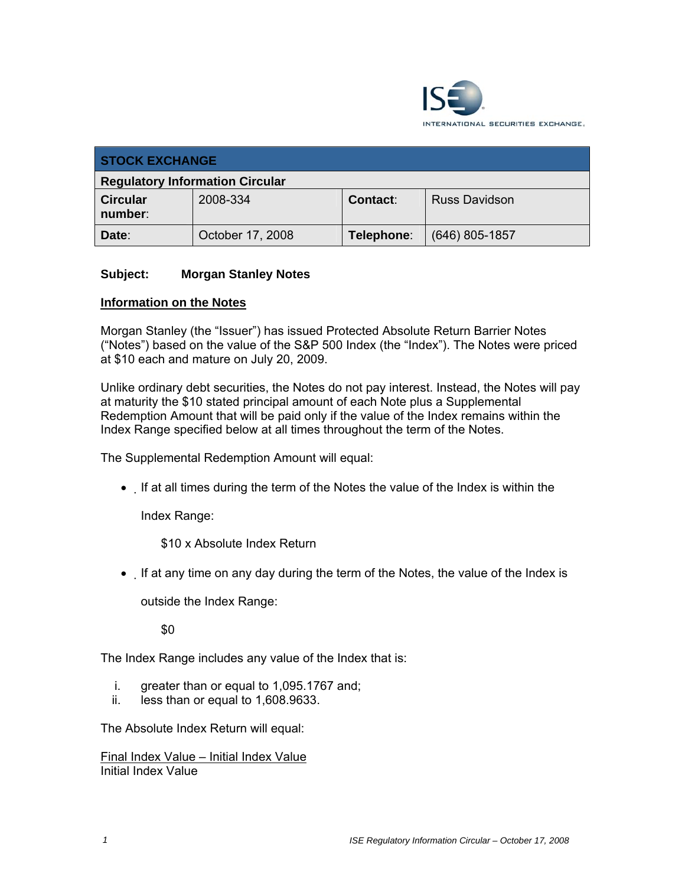

| <b>STOCK EXCHANGE</b>                  |                  |            |                      |  |
|----------------------------------------|------------------|------------|----------------------|--|
| <b>Regulatory Information Circular</b> |                  |            |                      |  |
| <b>Circular</b><br>number:             | 2008-334         | Contact:   | <b>Russ Davidson</b> |  |
| Date:                                  | October 17, 2008 | Telephone: | $(646)$ 805-1857     |  |

## **Subject: Morgan Stanley Notes**

## **Information on the Notes**

Morgan Stanley (the "Issuer") has issued Protected Absolute Return Barrier Notes ("Notes") based on the value of the S&P 500 Index (the "Index"). The Notes were priced at \$10 each and mature on July 20, 2009.

Unlike ordinary debt securities, the Notes do not pay interest. Instead, the Notes will pay at maturity the \$10 stated principal amount of each Note plus a Supplemental Redemption Amount that will be paid only if the value of the Index remains within the Index Range specified below at all times throughout the term of the Notes.

The Supplemental Redemption Amount will equal:

• If at all times during the term of the Notes the value of the Index is within the

Index Range:

\$10 x Absolute Index Return

• If at any time on any day during the term of the Notes, the value of the Index is

outside the Index Range:

\$0

The Index Range includes any value of the Index that is:

- i. greater than or equal to 1,095.1767 and;
- ii. less than or equal to 1,608.9633.

The Absolute Index Return will equal:

Final Index Value – Initial Index Value Initial Index Value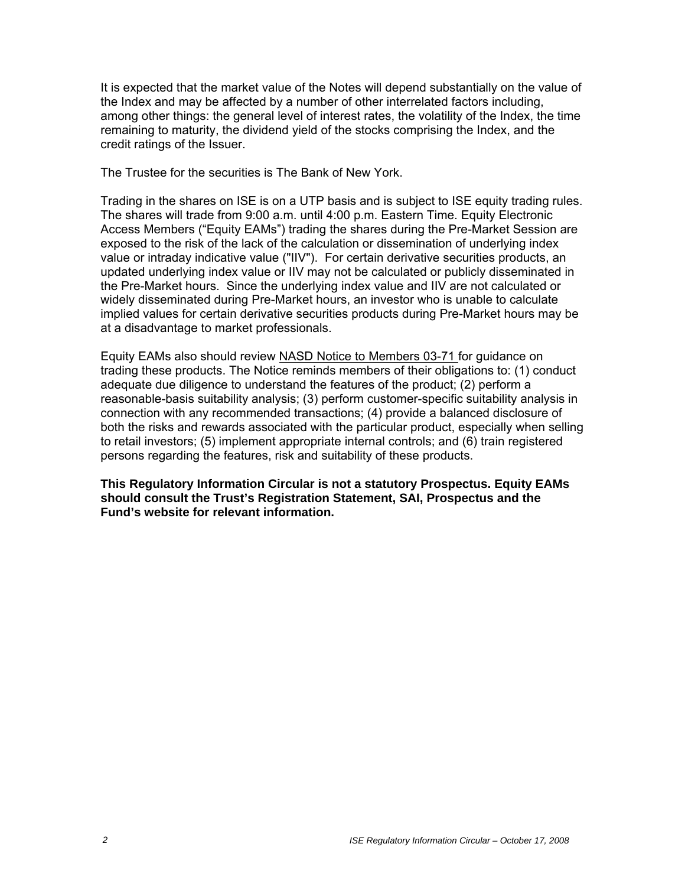It is expected that the market value of the Notes will depend substantially on the value of the Index and may be affected by a number of other interrelated factors including, among other things: the general level of interest rates, the volatility of the Index, the time remaining to maturity, the dividend yield of the stocks comprising the Index, and the credit ratings of the Issuer.

The Trustee for the securities is The Bank of New York.

Trading in the shares on ISE is on a UTP basis and is subject to ISE equity trading rules. The shares will trade from 9:00 a.m. until 4:00 p.m. Eastern Time. Equity Electronic Access Members ("Equity EAMs") trading the shares during the Pre-Market Session are exposed to the risk of the lack of the calculation or dissemination of underlying index value or intraday indicative value ("IIV"). For certain derivative securities products, an updated underlying index value or IIV may not be calculated or publicly disseminated in the Pre-Market hours. Since the underlying index value and IIV are not calculated or widely disseminated during Pre-Market hours, an investor who is unable to calculate implied values for certain derivative securities products during Pre-Market hours may be at a disadvantage to market professionals.

Equity EAMs also should review NASD Notice to Members 03-71 for guidance on trading these products. The Notice reminds members of their obligations to: (1) conduct adequate due diligence to understand the features of the product; (2) perform a reasonable-basis suitability analysis; (3) perform customer-specific suitability analysis in connection with any recommended transactions; (4) provide a balanced disclosure of both the risks and rewards associated with the particular product, especially when selling to retail investors; (5) implement appropriate internal controls; and (6) train registered persons regarding the features, risk and suitability of these products.

**This Regulatory Information Circular is not a statutory Prospectus. Equity EAMs should consult the Trust's Registration Statement, SAI, Prospectus and the Fund's website for relevant information.**